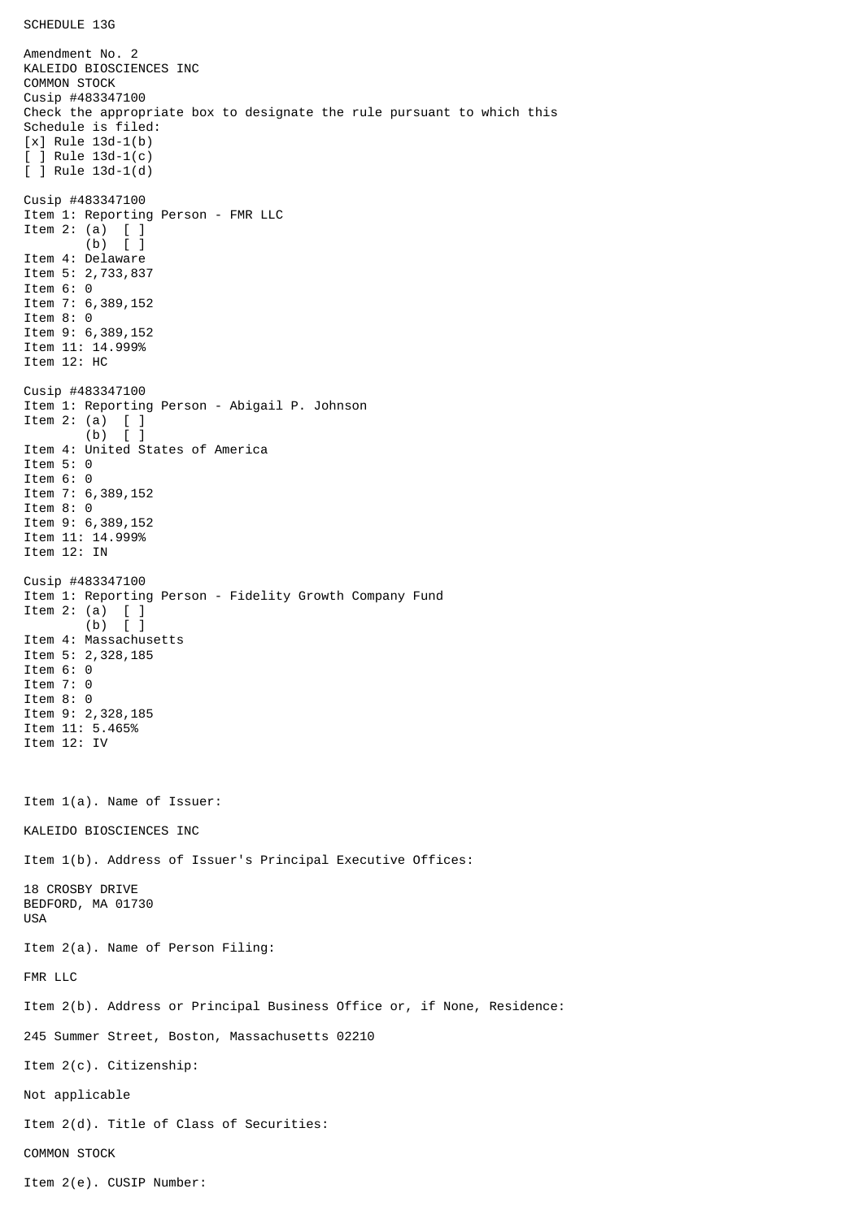```
SCHEDULE 13G
```
Amendment No. 2 KALEIDO BIOSCIENCES INC COMMON STOCK Cusip #483347100 Check the appropriate box to designate the rule pursuant to which this Schedule is filed: [x] Rule 13d-1(b) [ ] Rule 13d-1(c) [ ] Rule 13d-1(d) Cusip #483347100 Item 1: Reporting Person - FMR LLC Item 2: (a) [ ] (b) [ ] Item 4: Delaware Item 5: 2,733,837 Item 6: 0 Item 7: 6,389,152 Item 8: 0 Item 9: 6,389,152 Item 11: 14.999% Item 12: HC Cusip #483347100 Item 1: Reporting Person - Abigail P. Johnson Item 2: (a)  $\begin{bmatrix} 1 \\ 0 \end{bmatrix}$  $(b)$ Item 4: United States of America Item 5: 0 Item 6: 0 Item 7: 6,389,152 Item 8: 0 Item 9: 6,389,152 Item 11: 14.999% Item 12: IN Cusip #483347100 Item 1: Reporting Person - Fidelity Growth Company Fund Item 2: (a) [ ] (b) [ ] Item 4: Massachusetts Item 5: 2,328,185 Item 6: 0 Item 7: 0 Item 8: 0 Item 9: 2,328,185 Item 11: 5.465% Item 12: IV Item 1(a). Name of Issuer: KALEIDO BIOSCIENCES INC Item 1(b). Address of Issuer's Principal Executive Offices: 18 CROSBY DRIVE BEDFORD, MA 01730 USA Item 2(a). Name of Person Filing: FMR LLC Item 2(b). Address or Principal Business Office or, if None, Residence: 245 Summer Street, Boston, Massachusetts 02210 Item 2(c). Citizenship: Not applicable Item 2(d). Title of Class of Securities: COMMON STOCK Item 2(e). CUSIP Number: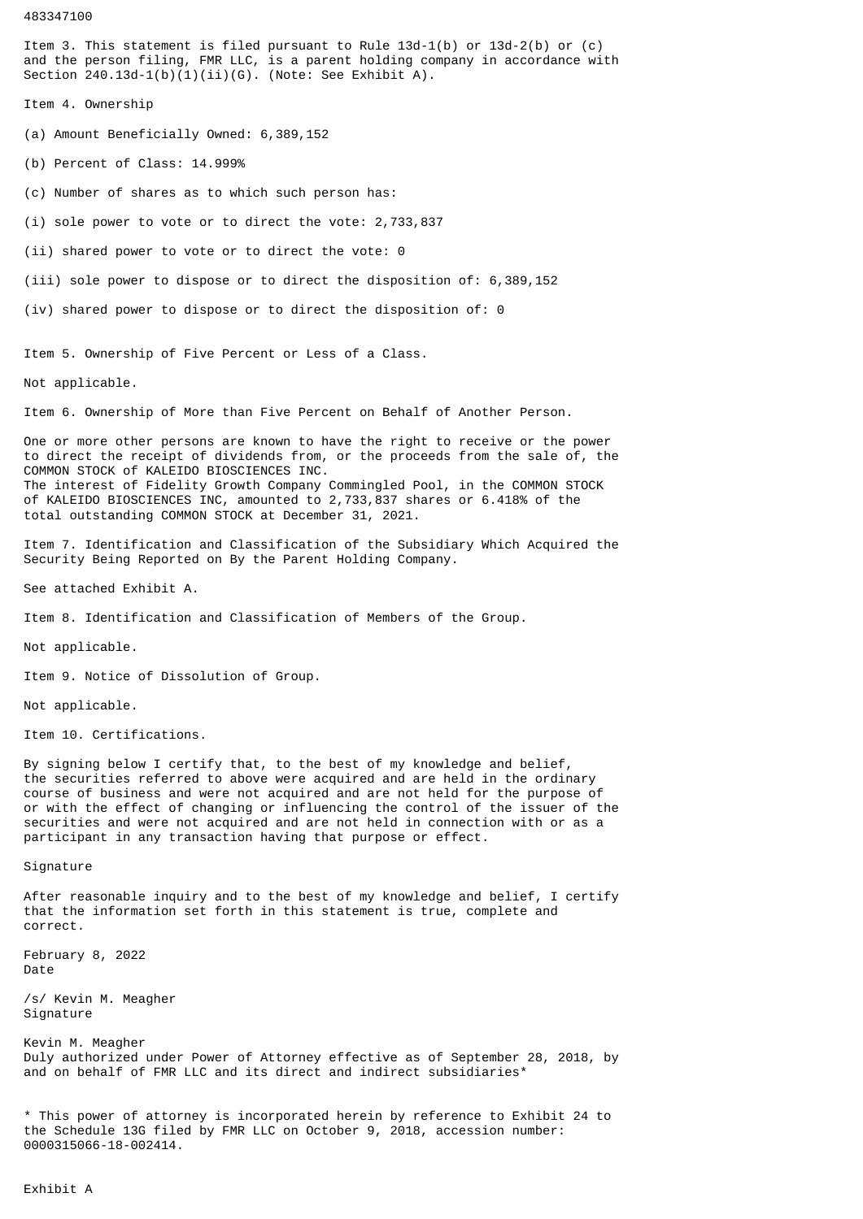483347100

Item 3. This statement is filed pursuant to Rule 13d-1(b) or 13d-2(b) or (c) and the person filing, FMR LLC, is a parent holding company in accordance with Section 240.13d-1(b)(1)(ii)(G). (Note: See Exhibit A).

Item 4. Ownership

(a) Amount Beneficially Owned: 6,389,152

(b) Percent of Class: 14.999%

(c) Number of shares as to which such person has:

(i) sole power to vote or to direct the vote: 2,733,837

(ii) shared power to vote or to direct the vote: 0

(iii) sole power to dispose or to direct the disposition of: 6,389,152

(iv) shared power to dispose or to direct the disposition of: 0

Item 5. Ownership of Five Percent or Less of a Class.

Not applicable.

Item 6. Ownership of More than Five Percent on Behalf of Another Person.

One or more other persons are known to have the right to receive or the power to direct the receipt of dividends from, or the proceeds from the sale of, the COMMON STOCK of KALEIDO BIOSCIENCES INC. The interest of Fidelity Growth Company Commingled Pool, in the COMMON STOCK of KALEIDO BIOSCIENCES INC, amounted to 2,733,837 shares or 6.418% of the total outstanding COMMON STOCK at December 31, 2021.

Item 7. Identification and Classification of the Subsidiary Which Acquired the Security Being Reported on By the Parent Holding Company.

See attached Exhibit A.

Item 8. Identification and Classification of Members of the Group.

Not applicable.

Item 9. Notice of Dissolution of Group.

Not applicable.

Item 10. Certifications.

By signing below I certify that, to the best of my knowledge and belief, the securities referred to above were acquired and are held in the ordinary course of business and were not acquired and are not held for the purpose of or with the effect of changing or influencing the control of the issuer of the securities and were not acquired and are not held in connection with or as a participant in any transaction having that purpose or effect.

Signature

After reasonable inquiry and to the best of my knowledge and belief, I certify that the information set forth in this statement is true, complete and correct.

February 8, 2022 Date

/s/ Kevin M. Meagher Signature

Kevin M. Meagher Duly authorized under Power of Attorney effective as of September 28, 2018, by and on behalf of FMR LLC and its direct and indirect subsidiaries\*

\* This power of attorney is incorporated herein by reference to Exhibit 24 to the Schedule 13G filed by FMR LLC on October 9, 2018, accession number: 0000315066-18-002414.